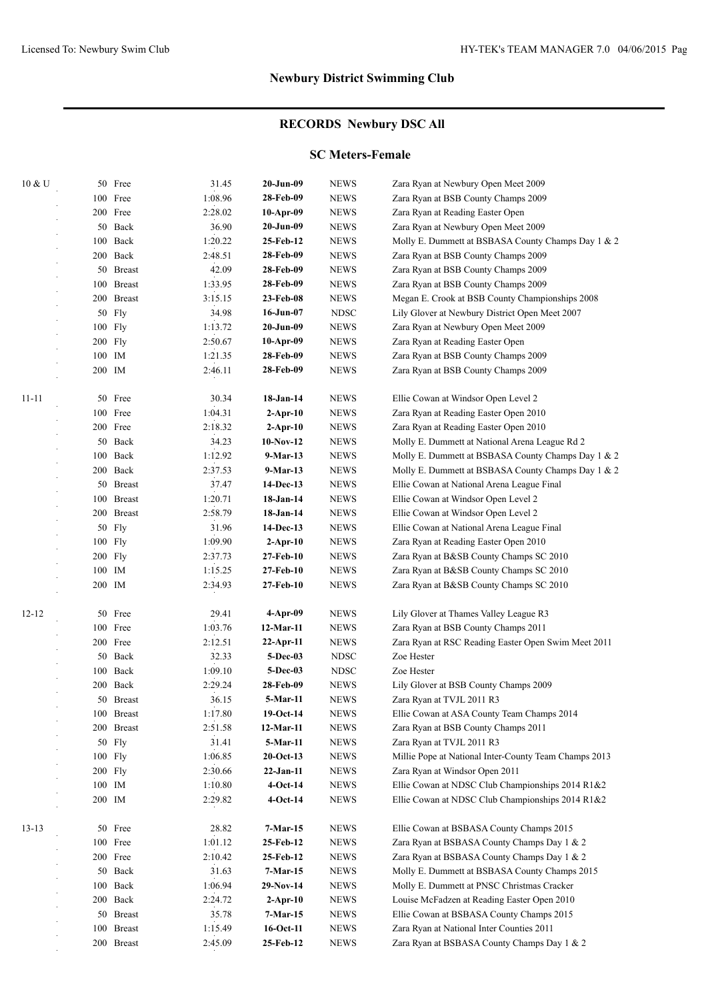#### **RECORDS Newbury DSC All**

#### **SC Meters-Female**

| 10 & U    |        | 50 Free       | 31.45   | 20-Jun-09       | <b>NEWS</b> | Zara Ryan at Newbury Open Meet 2009                   |
|-----------|--------|---------------|---------|-----------------|-------------|-------------------------------------------------------|
|           | 100    | Free          | 1:08.96 | 28-Feb-09       | <b>NEWS</b> | Zara Ryan at BSB County Champs 2009                   |
|           |        | 200 Free      | 2:28.02 | 10-Apr-09       | <b>NEWS</b> | Zara Ryan at Reading Easter Open                      |
|           | 50     | Back          | 36.90   | 20-Jun-09       | <b>NEWS</b> | Zara Ryan at Newbury Open Meet 2009                   |
|           | 100    | Back          | 1:20.22 | 25-Feb-12       | <b>NEWS</b> | Molly E. Dummett at BSBASA County Champs Day 1 & 2    |
|           |        | 200 Back      | 2:48.51 | 28-Feb-09       | <b>NEWS</b> | Zara Ryan at BSB County Champs 2009                   |
|           | 50     | <b>Breast</b> | 42.09   | 28-Feb-09       | <b>NEWS</b> | Zara Ryan at BSB County Champs 2009                   |
|           |        | 100 Breast    | 1:33.95 | 28-Feb-09       | <b>NEWS</b> | Zara Ryan at BSB County Champs 2009                   |
|           |        | 200 Breast    | 3:15.15 | 23-Feb-08       | <b>NEWS</b> | Megan E. Crook at BSB County Championships 2008       |
|           |        | 50 Fly        | 34.98   | $16$ -Jun- $07$ | <b>NDSC</b> | Lily Glover at Newbury District Open Meet 2007        |
|           |        | 100 Fly       | 1:13.72 | 20-Jun-09       | <b>NEWS</b> | Zara Ryan at Newbury Open Meet 2009                   |
|           |        | 200 Fly       | 2:50.67 | $10-Apr-09$     | <b>NEWS</b> | Zara Ryan at Reading Easter Open                      |
|           | 100 IM |               | 1:21.35 | 28-Feb-09       | <b>NEWS</b> | Zara Ryan at BSB County Champs 2009                   |
|           | 200 IM |               | 2:46.11 | 28-Feb-09       | <b>NEWS</b> | Zara Ryan at BSB County Champs 2009                   |
|           |        |               |         |                 |             |                                                       |
| $11 - 11$ |        | 50 Free       | 30.34   | 18-Jan-14       | <b>NEWS</b> | Ellie Cowan at Windsor Open Level 2                   |
|           |        | 100 Free      | 1:04.31 | $2$ -Apr-10     | <b>NEWS</b> | Zara Ryan at Reading Easter Open 2010                 |
|           |        | 200 Free      | 2:18.32 | $2$ -Apr-10     | <b>NEWS</b> | Zara Ryan at Reading Easter Open 2010                 |
|           |        | 50 Back       | 34.23   | $10-Nov-12$     | <b>NEWS</b> | Molly E. Dummett at National Arena League Rd 2        |
|           |        | 100 Back      | 1:12.92 | 9-Mar-13        | <b>NEWS</b> | Molly E. Dummett at BSBASA County Champs Day 1 & 2    |
|           |        | 200 Back      | 2:37.53 | 9-Mar-13        | <b>NEWS</b> | Molly E. Dummett at BSBASA County Champs Day 1 & 2    |
|           |        | 50 Breast     | 37.47   | 14-Dec-13       | <b>NEWS</b> | Ellie Cowan at National Arena League Final            |
|           |        | 100 Breast    | 1:20.71 | 18-Jan-14       | <b>NEWS</b> | Ellie Cowan at Windsor Open Level 2                   |
|           |        | 200 Breast    | 2:58.79 | 18-Jan-14       | <b>NEWS</b> | Ellie Cowan at Windsor Open Level 2                   |
|           |        | 50 Fly        | 31.96   | 14-Dec-13       | <b>NEWS</b> | Ellie Cowan at National Arena League Final            |
|           |        | 100 Fly       | 1:09.90 | $2$ -Apr-10     | <b>NEWS</b> | Zara Ryan at Reading Easter Open 2010                 |
|           |        | 200 Fly       | 2:37.73 | 27-Feb-10       | <b>NEWS</b> | Zara Ryan at B&SB County Champs SC 2010               |
|           |        | 100 IM        | 1:15.25 | 27-Feb-10       | <b>NEWS</b> | Zara Ryan at B&SB County Champs SC 2010               |
|           | 200 IM |               | 2:34.93 | 27-Feb-10       | <b>NEWS</b> | Zara Ryan at B&SB County Champs SC 2010               |
| $12 - 12$ |        | 50 Free       | 29.41   | 4-Apr-09        | <b>NEWS</b> | Lily Glover at Thames Valley League R3                |
|           |        | 100 Free      | 1:03.76 | 12-Mar-11       | <b>NEWS</b> | Zara Ryan at BSB County Champs 2011                   |
|           |        | 200 Free      | 2:12.51 | $22$ -Apr-11    | <b>NEWS</b> | Zara Ryan at RSC Reading Easter Open Swim Meet 2011   |
|           |        | 50 Back       | 32.33   | 5-Dec-03        | <b>NDSC</b> | Zoe Hester                                            |
|           |        | 100 Back      | 1:09.10 | 5-Dec-03        | <b>NDSC</b> | Zoe Hester                                            |
|           |        | 200 Back      | 2:29.24 | 28-Feb-09       | <b>NEWS</b> | Lily Glover at BSB County Champs 2009                 |
|           |        | 50 Breast     | 36.15   | 5-Mar-11        | <b>NEWS</b> | Zara Ryan at TVJL 2011 R3                             |
|           |        | 100 Breast    | 1:17.80 | 19-Oct-14       | <b>NEWS</b> | Ellie Cowan at ASA County Team Champs 2014            |
|           |        | 200 Breast    | 2:51.58 | 12-Mar-11       | <b>NEWS</b> | Zara Ryan at BSB County Champs 2011                   |
|           |        | 50 Fly        | 31.41   | 5-Mar-11        | <b>NEWS</b> | Zara Ryan at TVJL 2011 R3                             |
|           |        | 100 Fly       | 1:06.85 | $20$ -Oct-13    | <b>NEWS</b> | Millie Pope at National Inter-County Team Champs 2013 |
|           |        | $200$ Fly     | 2:30.66 | $22-Jan-11$     | <b>NEWS</b> | Zara Ryan at Windsor Open 2011                        |
|           |        | 100 IM        | 1:10.80 | $4-Oct-14$      | <b>NEWS</b> | Ellie Cowan at NDSC Club Championships 2014 R1&2      |
|           |        | 200 IM        | 2:29.82 | $4-Oct-14$      | <b>NEWS</b> | Ellie Cowan at NDSC Club Championships 2014 R1&2      |
|           |        |               |         |                 |             |                                                       |
| $13 - 13$ |        | 50 Free       | 28.82   | $7-Mar-15$      | <b>NEWS</b> | Ellie Cowan at BSBASA County Champs 2015              |
|           |        | 100 Free      | 1:01.12 | 25-Feb-12       | <b>NEWS</b> | Zara Ryan at BSBASA County Champs Day 1 & 2           |
|           |        | 200 Free      | 2:10.42 | 25-Feb-12       | <b>NEWS</b> | Zara Ryan at BSBASA County Champs Day 1 & 2           |
|           |        | 50 Back       | 31.63   | 7-Mar-15        | <b>NEWS</b> | Molly E. Dummett at BSBASA County Champs 2015         |
|           | 100    | Back          | 1:06.94 | $29-Nov-14$     | <b>NEWS</b> | Molly E. Dummett at PNSC Christmas Cracker            |
|           |        | 200 Back      | 2:24.72 | $2-Apr-10$      | <b>NEWS</b> | Louise McFadzen at Reading Easter Open 2010           |
|           |        | 50 Breast     | 35.78   | 7-Mar-15        | <b>NEWS</b> | Ellie Cowan at BSBASA County Champs 2015              |
|           | 100    | <b>Breast</b> | 1:15.49 | 16-Oct-11       | <b>NEWS</b> | Zara Ryan at National Inter Counties 2011             |
|           |        | 200 Breast    | 2:45.09 | 25-Feb-12       | <b>NEWS</b> | Zara Ryan at BSBASA County Champs Day 1 & 2           |
|           |        |               |         |                 |             |                                                       |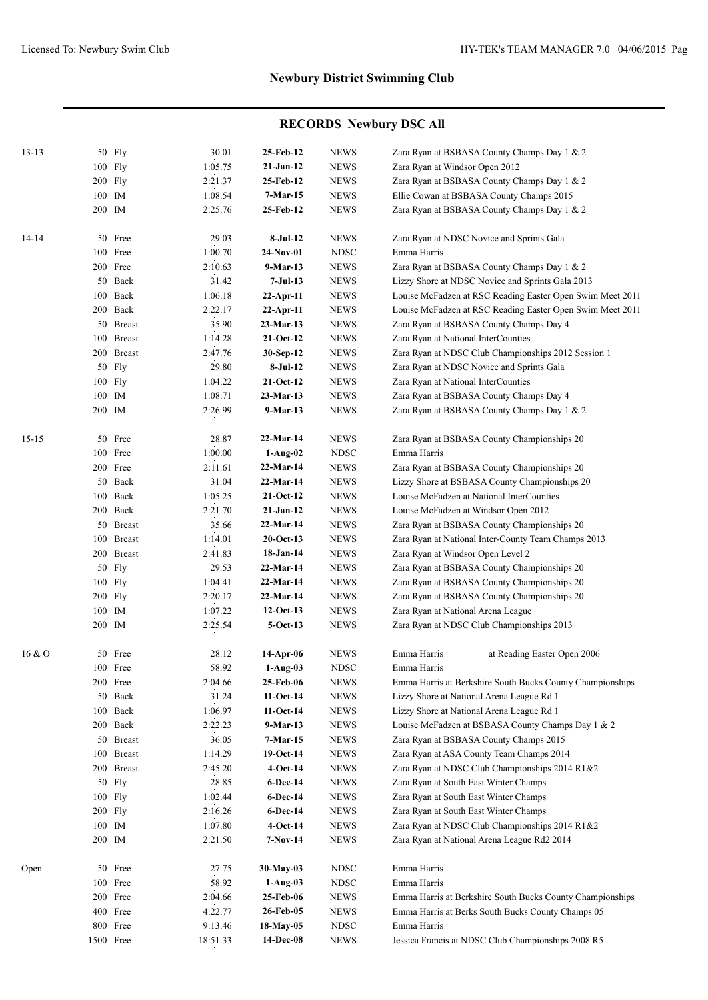| $13 - 13$ |        | 50 Fly     | 30.01    | 25-Feb-12    | <b>NEWS</b> | Zara Ryan at BSBASA County Champs Day 1 & 2               |
|-----------|--------|------------|----------|--------------|-------------|-----------------------------------------------------------|
|           |        | 100 Fly    | 1:05.75  | $21-Jan-12$  | <b>NEWS</b> | Zara Ryan at Windsor Open 2012                            |
|           |        | 200 Fly    | 2:21.37  | 25-Feb-12    | <b>NEWS</b> | Zara Ryan at BSBASA County Champs Day 1 & 2               |
|           | 100 IM |            | 1:08.54  | $7-Mar-15$   | <b>NEWS</b> | Ellie Cowan at BSBASA County Champs 2015                  |
|           | 200 IM |            | 2:25.76  | 25-Feb-12    | <b>NEWS</b> | Zara Ryan at BSBASA County Champs Day 1 & 2               |
|           |        |            |          |              |             |                                                           |
| $14 - 14$ |        | 50 Free    | 29.03    | 8-Jul-12     | <b>NEWS</b> | Zara Ryan at NDSC Novice and Sprints Gala                 |
|           |        | 100 Free   | 1:00.70  | 24-Nov-01    | <b>NDSC</b> | Emma Harris                                               |
|           |        | 200 Free   | 2:10.63  | 9-Mar-13     | <b>NEWS</b> | Zara Ryan at BSBASA County Champs Day 1 & 2               |
|           |        | 50 Back    | 31.42    | 7-Jul-13     | <b>NEWS</b> | Lizzy Shore at NDSC Novice and Sprints Gala 2013          |
|           |        | 100 Back   | 1:06.18  | $22$ -Apr-11 | <b>NEWS</b> | Louise McFadzen at RSC Reading Easter Open Swim Meet 2011 |
|           |        | 200 Back   | 2:22.17  | $22$ -Apr-11 | <b>NEWS</b> | Louise McFadzen at RSC Reading Easter Open Swim Meet 2011 |
|           |        | 50 Breast  | 35.90    | 23-Mar-13    | <b>NEWS</b> | Zara Ryan at BSBASA County Champs Day 4                   |
|           |        | 100 Breast | 1:14.28  | $21-Oct-12$  | <b>NEWS</b> | Zara Ryan at National InterCounties                       |
|           |        | 200 Breast | 2:47.76  | 30-Sep-12    | <b>NEWS</b> | Zara Ryan at NDSC Club Championships 2012 Session 1       |
|           |        | 50 Fly     | 29.80    | 8-Jul-12     | <b>NEWS</b> | Zara Ryan at NDSC Novice and Sprints Gala                 |
|           |        | 100 Fly    | 1:04.22  | $21-Oct-12$  | <b>NEWS</b> | Zara Ryan at National InterCounties                       |
|           | 100 IM |            | 1:08.71  | $23-Mar-13$  | <b>NEWS</b> | Zara Ryan at BSBASA County Champs Day 4                   |
|           | 200 IM |            | 2:26.99  | $9-Mar-13$   | <b>NEWS</b> | Zara Ryan at BSBASA County Champs Day 1 & 2               |
|           |        |            |          |              |             |                                                           |
| $15 - 15$ |        | 50 Free    | 28.87    | 22-Mar-14    | <b>NEWS</b> | Zara Ryan at BSBASA County Championships 20               |
|           |        | 100 Free   | 1:00.00  | $1-Aug-02$   | <b>NDSC</b> | Emma Harris                                               |
|           |        | 200 Free   | 2:11.61  | 22-Mar-14    | <b>NEWS</b> | Zara Ryan at BSBASA County Championships 20               |
|           |        | 50 Back    | 31.04    | $22-Mar-14$  | <b>NEWS</b> | Lizzy Shore at BSBASA County Championships 20             |
|           |        | 100 Back   | 1:05.25  | $21-Oct-12$  | <b>NEWS</b> | Louise McFadzen at National InterCounties                 |
|           |        | 200 Back   | 2:21.70  | $21-Jan-12$  | <b>NEWS</b> | Louise McFadzen at Windsor Open 2012                      |
|           |        | 50 Breast  | 35.66    | $22-Mar-14$  | <b>NEWS</b> | Zara Ryan at BSBASA County Championships 20               |
|           |        | 100 Breast | 1:14.01  | $20$ -Oct-13 | <b>NEWS</b> | Zara Ryan at National Inter-County Team Champs 2013       |
|           |        | 200 Breast | 2:41.83  | 18-Jan-14    | <b>NEWS</b> | Zara Ryan at Windsor Open Level 2                         |
|           |        | 50 Fly     | 29.53    | 22-Mar-14    | <b>NEWS</b> | Zara Ryan at BSBASA County Championships 20               |
|           |        | 100 Fly    | 1:04.41  | 22-Mar-14    | <b>NEWS</b> | Zara Ryan at BSBASA County Championships 20               |
|           |        | 200 Fly    | 2:20.17  | 22-Mar-14    | <b>NEWS</b> | Zara Ryan at BSBASA County Championships 20               |
|           | 100 IM |            | 1:07.22  | $12-Oct-13$  | <b>NEWS</b> | Zara Ryan at National Arena League                        |
|           | 200 IM |            | 2:25.54  | $5-Oct-13$   | <b>NEWS</b> | Zara Ryan at NDSC Club Championships 2013                 |
|           |        |            |          |              |             |                                                           |
| 16 & 0    |        | 50 Free    | 28.12    | 14-Apr-06    | <b>NEWS</b> | Emma Harris<br>at Reading Easter Open 2006                |
|           |        | 100 Free   | 58.92    | $1-Aug-03$   | <b>NDSC</b> | Emma Harris                                               |
|           |        | 200 Free   | 2:04.66  | 25-Feb-06    | <b>NEWS</b> | Emma Harris at Berkshire South Bucks County Championships |
|           |        | 50 Back    | 31.24    | $11-Oct-14$  | <b>NEWS</b> | Lizzy Shore at National Arena League Rd 1                 |
|           |        | 100 Back   | 1:06.97  | $11-Oct-14$  | <b>NEWS</b> | Lizzy Shore at National Arena League Rd 1                 |
|           |        | 200 Back   | 2:22.23  | $9-Mar-13$   | <b>NEWS</b> | Louise McFadzen at BSBASA County Champs Day 1 & 2         |
|           |        | 50 Breast  | 36.05    | $7-Mar-15$   | <b>NEWS</b> | Zara Ryan at BSBASA County Champs 2015                    |
|           |        | 100 Breast | 1:14.29  | 19-Oct-14    | <b>NEWS</b> | Zara Ryan at ASA County Team Champs 2014                  |
|           |        | 200 Breast | 2:45.20  | $4-Oct-14$   | <b>NEWS</b> | Zara Ryan at NDSC Club Championships 2014 R1&2            |
|           |        | 50 Fly     | 28.85    | 6-Dec-14     | <b>NEWS</b> | Zara Ryan at South East Winter Champs                     |
|           |        | 100 Fly    | 1:02.44  | $6$ -Dec-14  | <b>NEWS</b> | Zara Ryan at South East Winter Champs                     |
|           |        | 200 Fly    | 2:16.26  | 6-Dec-14     | <b>NEWS</b> | Zara Ryan at South East Winter Champs                     |
|           | 100 IM |            | 1:07.80  | $4-Oct-14$   | <b>NEWS</b> | Zara Ryan at NDSC Club Championships 2014 R1&2            |
|           | 200 IM |            | 2:21.50  | $7-Nov-14$   | <b>NEWS</b> | Zara Ryan at National Arena League Rd2 2014               |
|           |        |            |          |              |             |                                                           |
| Open      |        | 50 Free    | 27.75    | 30-May-03    | <b>NDSC</b> | Emma Harris                                               |
|           |        | 100 Free   | 58.92    | $1-Aug-03$   | <b>NDSC</b> | Emma Harris                                               |
|           |        | 200 Free   | 2:04.66  | 25-Feb-06    | <b>NEWS</b> | Emma Harris at Berkshire South Bucks County Championships |
|           |        | 400 Free   | 4:22.77  | 26-Feb-05    | <b>NEWS</b> | Emma Harris at Berks South Bucks County Champs 05         |
|           |        | 800 Free   | 9:13.46  | 18-May-05    | <b>NDSC</b> | Emma Harris                                               |
|           |        | 1500 Free  | 18:51.33 | 14-Dec-08    | <b>NEWS</b> | Jessica Francis at NDSC Club Championships 2008 R5        |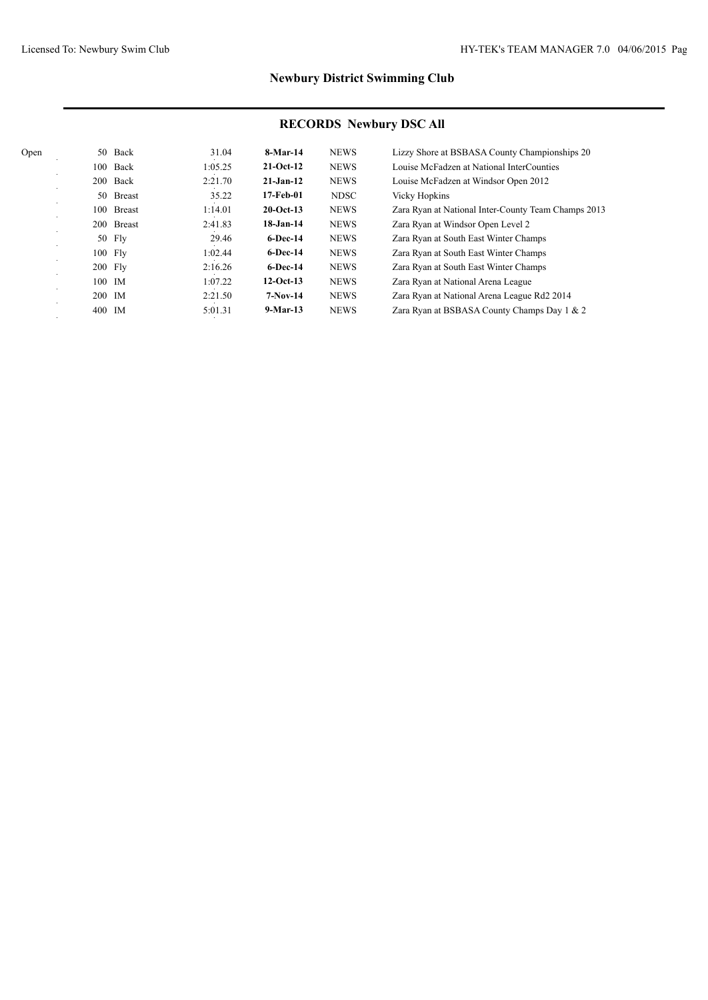| Open | 50     | Back          | 31.04   | 8-Mar-14     | <b>NEWS</b> | Lizzy Shore at BSBASA County Championships 20       |
|------|--------|---------------|---------|--------------|-------------|-----------------------------------------------------|
|      | 100    | Back          | 1:05.25 | $21-Oct-12$  | <b>NEWS</b> | Louise McFadzen at National InterCounties           |
|      |        | 200 Back      | 2:21.70 | $21-Jan-12$  | <b>NEWS</b> | Louise McFadzen at Windsor Open 2012                |
|      | 50     | <b>Breast</b> | 35.22   | 17-Feb-01    | <b>NDSC</b> | <b>Vicky Hopkins</b>                                |
|      | 100    | <b>Breast</b> | 1:14.01 | $20$ -Oct-13 | <b>NEWS</b> | Zara Ryan at National Inter-County Team Champs 2013 |
|      |        | 200 Breast    | 2:41.83 | $18$ -Jan-14 | <b>NEWS</b> | Zara Ryan at Windsor Open Level 2                   |
|      |        | 50 Fly        | 29.46   | $6$ -Dec-14  | <b>NEWS</b> | Zara Ryan at South East Winter Champs               |
|      |        | 100 Fly       | 1:02.44 | $6$ -Dec-14  | <b>NEWS</b> | Zara Ryan at South East Winter Champs               |
|      |        | 200 Fly       | 2:16.26 | $6$ -Dec-14  | <b>NEWS</b> | Zara Ryan at South East Winter Champs               |
|      | 100 IM |               | 1:07.22 | $12-Oct-13$  | <b>NEWS</b> | Zara Ryan at National Arena League                  |
|      | 200 IM |               | 2:21.50 | $7-Nov-14$   | <b>NEWS</b> | Zara Ryan at National Arena League Rd2 2014         |
|      | 400 IM |               | 5:01.31 | $9-Mar-13$   | <b>NEWS</b> | Zara Ryan at BSBASA County Champs Day 1 & 2         |
|      |        |               |         |              |             |                                                     |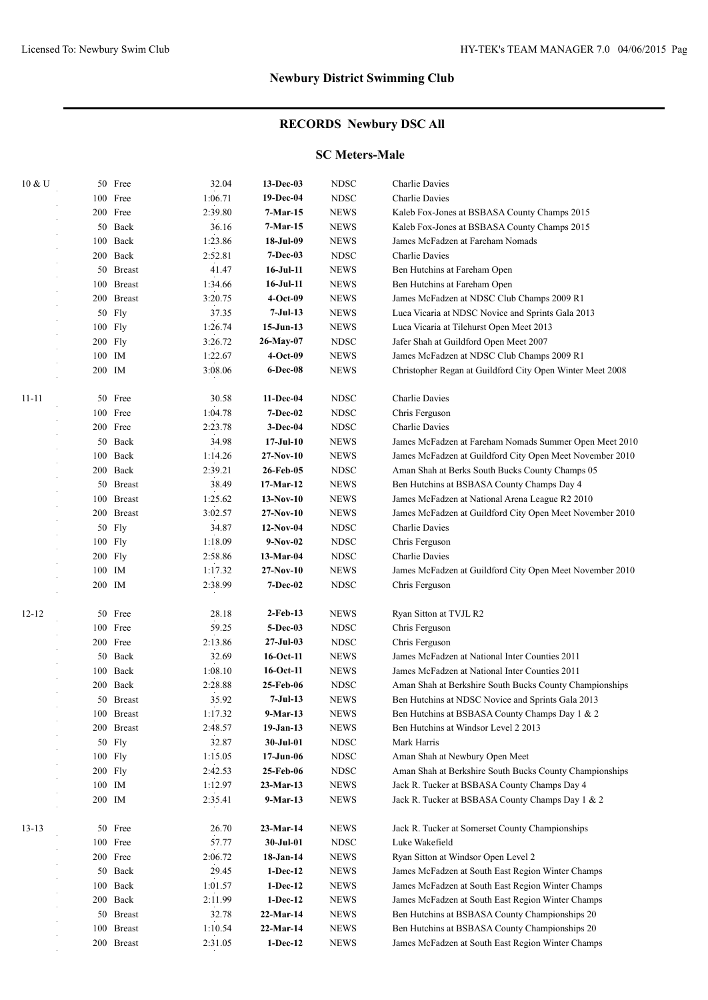#### **RECORDS Newbury DSC All**

#### **SC Meters-Male**

| 10 & U    |        | 50 Free    | 32.04   | 13-Dec-03        | <b>NDSC</b> | Charlie Davies                                            |
|-----------|--------|------------|---------|------------------|-------------|-----------------------------------------------------------|
|           |        | 100 Free   | 1:06.71 | 19-Dec-04        | <b>NDSC</b> | Charlie Davies                                            |
|           |        | 200 Free   | 2:39.80 | 7-Mar-15         | <b>NEWS</b> | Kaleb Fox-Jones at BSBASA County Champs 2015              |
|           |        | 50 Back    | 36.16   | 7-Mar-15         | <b>NEWS</b> | Kaleb Fox-Jones at BSBASA County Champs 2015              |
|           |        | 100 Back   | 1:23.86 | 18-Jul-09        | <b>NEWS</b> | James McFadzen at Fareham Nomads                          |
|           |        | 200 Back   | 2:52.81 | 7-Dec-03         | <b>NDSC</b> | Charlie Davies                                            |
|           |        | 50 Breast  | 41.47   | 16-Jul-11        | <b>NEWS</b> | Ben Hutchins at Fareham Open                              |
|           |        | 100 Breast | 1:34.66 | 16-Jul-11        | <b>NEWS</b> | Ben Hutchins at Fareham Open                              |
|           |        | 200 Breast | 3:20.75 | $4-Oct-09$       | <b>NEWS</b> | James McFadzen at NDSC Club Champs 2009 R1                |
|           |        | 50 Fly     | 37.35   | 7-Jul-13         | <b>NEWS</b> | Luca Vicaria at NDSC Novice and Sprints Gala 2013         |
|           |        | 100 Fly    | 1:26.74 | $15-Jun-13$      | <b>NEWS</b> | Luca Vicaria at Tilehurst Open Meet 2013                  |
|           |        | 200 Fly    | 3:26.72 | 26-May-07        | <b>NDSC</b> | Jafer Shah at Guildford Open Meet 2007                    |
|           | 100 IM |            | 1:22.67 | $4-Oct-09$       | <b>NEWS</b> | James McFadzen at NDSC Club Champs 2009 R1                |
|           | 200 IM |            | 3:08.06 | 6-Dec-08         | <b>NEWS</b> | Christopher Regan at Guildford City Open Winter Meet 2008 |
|           |        |            |         |                  |             |                                                           |
| $11 - 11$ |        | 50 Free    | 30.58   | 11-Dec-04        | <b>NDSC</b> | Charlie Davies                                            |
|           |        | 100 Free   | 1:04.78 | 7-Dec-02         | <b>NDSC</b> | Chris Ferguson                                            |
|           |        | 200 Free   | 2:23.78 | 3-Dec-04         | <b>NDSC</b> | Charlie Davies                                            |
|           |        | 50 Back    | 34.98   | $17-JuI-10$      | <b>NEWS</b> | James McFadzen at Fareham Nomads Summer Open Meet 2010    |
|           |        | 100 Back   | 1:14.26 | 27-Nov-10        | <b>NEWS</b> | James McFadzen at Guildford City Open Meet November 2010  |
|           |        | 200 Back   | 2:39.21 | 26-Feb-05        | <b>NDSC</b> | Aman Shah at Berks South Bucks County Champs 05           |
|           |        | 50 Breast  | 38.49   | 17-Mar-12        | <b>NEWS</b> | Ben Hutchins at BSBASA County Champs Day 4                |
|           |        | 100 Breast | 1:25.62 | $13-Nov-10$      | <b>NEWS</b> | James McFadzen at National Arena League R2 2010           |
|           |        | 200 Breast | 3:02.57 | 27-Nov-10        | <b>NEWS</b> | James McFadzen at Guildford City Open Meet November 2010  |
|           |        | 50 Fly     | 34.87   | $12-Nov-04$      | <b>NDSC</b> | Charlie Davies                                            |
|           |        | 100 Fly    | 1:18.09 | $9-Nov-02$       | <b>NDSC</b> | Chris Ferguson                                            |
|           |        | 200 Fly    | 2:58.86 | 13-Mar-04        | <b>NDSC</b> | Charlie Davies                                            |
|           | 100 IM |            | 1:17.32 | 27-Nov-10        | <b>NEWS</b> | James McFadzen at Guildford City Open Meet November 2010  |
|           | 200 IM |            | 2:38.99 | <b>7-Dec-02</b>  | <b>NDSC</b> | Chris Ferguson                                            |
| $12 - 12$ |        | 50 Free    | 28.18   | $2$ -Feb-13      | <b>NEWS</b> | Ryan Sitton at TVJL R2                                    |
|           |        | 100 Free   | 59.25   | 5-Dec-03         | <b>NDSC</b> | Chris Ferguson                                            |
|           |        | 200 Free   | 2:13.86 | $27 -$ Jul $-03$ | <b>NDSC</b> | Chris Ferguson                                            |
|           |        | 50 Back    | 32.69   | 16-Oct-11        | <b>NEWS</b> | James McFadzen at National Inter Counties 2011            |
|           |        | 100 Back   | 1:08.10 | 16-Oct-11        | <b>NEWS</b> | James McFadzen at National Inter Counties 2011            |
|           | 200    | Back       | 2:28.88 | 25-Feb-06        | <b>NDSC</b> | Aman Shah at Berkshire South Bucks County Championships   |
|           |        | 50 Breast  | 35.92   | 7-Jul-13         | <b>NEWS</b> | Ben Hutchins at NDSC Novice and Sprints Gala 2013         |
|           |        | 100 Breast | 1:17.32 | 9-Mar-13         | NEWS        | Ben Hutchins at BSBASA County Champs Day 1 & 2            |
|           |        | 200 Breast | 2:48.57 | $19-Jan-13$      | <b>NEWS</b> | Ben Hutchins at Windsor Level 2 2013                      |
|           |        | 50 Fly     | 32.87   | 30-Jul-01        | <b>NDSC</b> | Mark Harris                                               |
|           |        | 100 Fly    | 1:15.05 | $17 - Jun-06$    | <b>NDSC</b> | Aman Shah at Newbury Open Meet                            |
|           |        | $200$ Fly  | 2:42.53 | 25-Feb-06        | <b>NDSC</b> | Aman Shah at Berkshire South Bucks County Championships   |
|           |        | 100 IM     | 1:12.97 | 23-Mar-13        | <b>NEWS</b> | Jack R. Tucker at BSBASA County Champs Day 4              |
|           |        | 200 IM     | 2:35.41 | 9-Mar-13         | <b>NEWS</b> | Jack R. Tucker at BSBASA County Champs Day 1 & 2          |
|           |        |            |         |                  |             |                                                           |
| $13 - 13$ |        | 50 Free    | 26.70   | $23-Mar-14$      | <b>NEWS</b> | Jack R. Tucker at Somerset County Championships           |
|           |        | 100 Free   | 57.77   | 30-Jul-01        | <b>NDSC</b> | Luke Wakefield                                            |
|           |        | 200 Free   | 2:06.72 | 18-Jan-14        | <b>NEWS</b> | Ryan Sitton at Windsor Open Level 2                       |
|           |        | 50 Back    | 29.45   | $1-Dec-12$       | <b>NEWS</b> | James McFadzen at South East Region Winter Champs         |
|           |        | 100 Back   | 1:01.57 | $1-Dec-12$       | <b>NEWS</b> | James McFadzen at South East Region Winter Champs         |
|           |        | 200 Back   | 2:11.99 | $1-Dec-12$       | <b>NEWS</b> | James McFadzen at South East Region Winter Champs         |
|           |        | 50 Breast  | 32.78   | 22-Mar-14        | <b>NEWS</b> | Ben Hutchins at BSBASA County Championships 20            |
|           |        | 100 Breast | 1:10.54 | 22-Mar-14        | <b>NEWS</b> | Ben Hutchins at BSBASA County Championships 20            |
|           |        | 200 Breast | 2:31.05 | $1-Dec-12$       | <b>NEWS</b> | James McFadzen at South East Region Winter Champs         |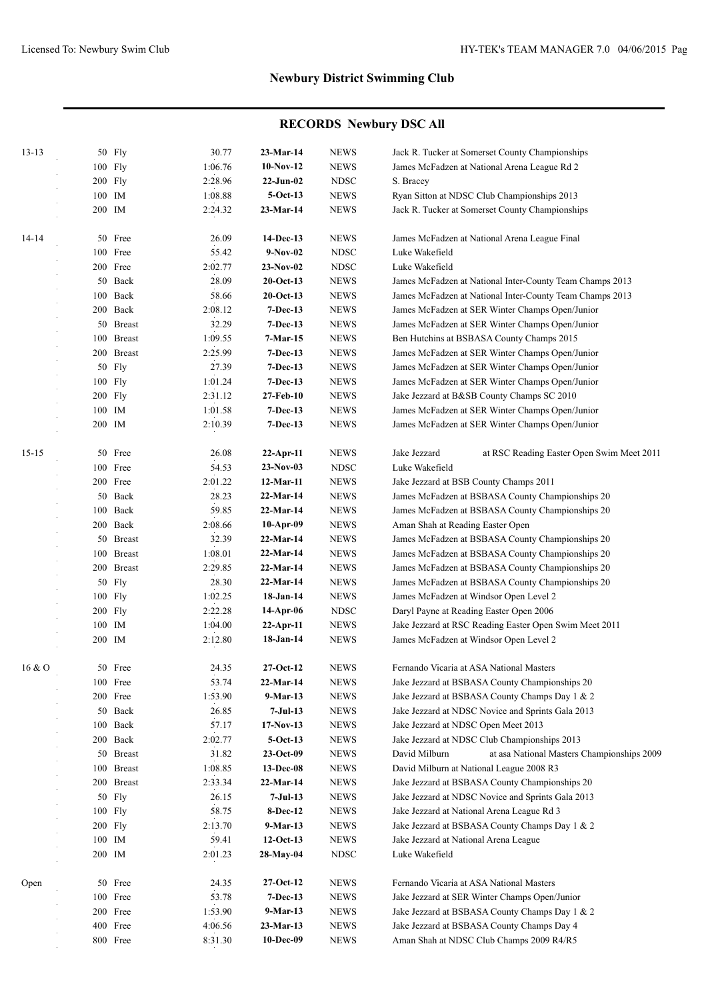| $13 - 13$ |        | 50 Fly        | 30.77   | $23-Mar-14$  | <b>NEWS</b>  | Jack R. Tucker at Somerset County Championships             |
|-----------|--------|---------------|---------|--------------|--------------|-------------------------------------------------------------|
|           |        | 100 Fly       | 1:06.76 | $10-Nov-12$  | <b>NEWS</b>  | James McFadzen at National Arena League Rd 2                |
|           |        | 200 Fly       | 2:28.96 | $22-Jun-02$  | <b>NDSC</b>  | S. Bracey                                                   |
|           |        | 100 IM        | 1:08.88 | $5-Oct-13$   | <b>NEWS</b>  | Ryan Sitton at NDSC Club Championships 2013                 |
|           |        | 200 IM        | 2:24.32 |              | <b>NEWS</b>  | Jack R. Tucker at Somerset County Championships             |
|           |        |               |         | $23-Mar-14$  |              |                                                             |
| $14 - 14$ |        | 50 Free       | 26.09   | 14-Dec-13    | <b>NEWS</b>  | James McFadzen at National Arena League Final               |
|           |        | 100 Free      | 55.42   | $9-Nov-02$   | <b>NDSC</b>  | Luke Wakefield                                              |
|           |        | 200 Free      | 2:02.77 | 23-Nov-02    | <b>NDSC</b>  | Luke Wakefield                                              |
|           |        | 50 Back       | 28.09   | $20$ -Oct-13 | <b>NEWS</b>  | James McFadzen at National Inter-County Team Champs 2013    |
|           |        | 100 Back      | 58.66   | $20$ -Oct-13 | <b>NEWS</b>  | James McFadzen at National Inter-County Team Champs 2013    |
|           |        | 200 Back      | 2:08.12 | $7-Dec-13$   | <b>NEWS</b>  | James McFadzen at SER Winter Champs Open/Junior             |
|           |        | 50 Breast     | 32.29   | 7-Dec-13     | <b>NEWS</b>  | James McFadzen at SER Winter Champs Open/Junior             |
|           |        | 100 Breast    | 1:09.55 | 7-Mar-15     | <b>NEWS</b>  | Ben Hutchins at BSBASA County Champs 2015                   |
|           |        | 200 Breast    | 2:25.99 | $7-Dec-13$   | <b>NEWS</b>  | James McFadzen at SER Winter Champs Open/Junior             |
|           |        | 50 Fly        | 27.39   | 7-Dec-13     | <b>NEWS</b>  | James McFadzen at SER Winter Champs Open/Junior             |
|           |        | 100 Fly       | 1:01.24 | $7-Dec-13$   | <b>NEWS</b>  | James McFadzen at SER Winter Champs Open/Junior             |
|           |        | 200 Fly       | 2:31.12 | 27-Feb-10    | <b>NEWS</b>  | Jake Jezzard at B&SB County Champs SC 2010                  |
|           |        | 100 IM        | 1:01.58 | $7-Dec-13$   | <b>NEWS</b>  | James McFadzen at SER Winter Champs Open/Junior             |
|           | 200 IM |               | 2:10.39 | 7-Dec-13     | <b>NEWS</b>  | James McFadzen at SER Winter Champs Open/Junior             |
|           |        |               |         |              |              |                                                             |
| $15 - 15$ |        | 50 Free       | 26.08   | $22$ -Apr-11 | <b>NEWS</b>  | Jake Jezzard<br>at RSC Reading Easter Open Swim Meet 2011   |
|           |        | 100 Free      | 54.53   | $23-Nov-03$  | <b>NDSC</b>  | Luke Wakefield                                              |
|           |        | 200 Free      | 2:01.22 | 12-Mar-11    | <b>NEWS</b>  | Jake Jezzard at BSB County Champs 2011                      |
|           |        | 50 Back       | 28.23   | $22-Mar-14$  | ${\rm NEWS}$ | James McFadzen at BSBASA County Championships 20            |
|           |        | 100 Back      | 59.85   | $22-Mar-14$  | <b>NEWS</b>  | James McFadzen at BSBASA County Championships 20            |
|           |        | 200 Back      | 2:08.66 | $10-Apr-09$  | <b>NEWS</b>  | Aman Shah at Reading Easter Open                            |
|           |        | 50 Breast     | 32.39   | $22$ -Mar-14 | <b>NEWS</b>  | James McFadzen at BSBASA County Championships 20            |
|           |        | 100 Breast    | 1:08.01 | $22-Mar-14$  | <b>NEWS</b>  | James McFadzen at BSBASA County Championships 20            |
|           |        | 200 Breast    | 2:29.85 | $22$ -Mar-14 | <b>NEWS</b>  | James McFadzen at BSBASA County Championships 20            |
|           |        | 50 Fly        | 28.30   | $22$ -Mar-14 | <b>NEWS</b>  | James McFadzen at BSBASA County Championships 20            |
|           |        | 100 Fly       | 1:02.25 | 18-Jan-14    | <b>NEWS</b>  | James McFadzen at Windsor Open Level 2                      |
|           |        | 200 Fly       | 2:22.28 | 14-Apr-06    | <b>NDSC</b>  | Daryl Payne at Reading Easter Open 2006                     |
|           |        | 100 IM        | 1:04.00 | 22-Apr-11    | <b>NEWS</b>  | Jake Jezzard at RSC Reading Easter Open Swim Meet 2011      |
|           |        | 200 IM        | 2:12.80 | $18-Jan-14$  | <b>NEWS</b>  | James McFadzen at Windsor Open Level 2                      |
|           |        |               |         |              |              |                                                             |
| 16 & O    |        | 50 Free       | 24.35   | $27-Oct-12$  | <b>NEWS</b>  | Fernando Vicaria at ASA National Masters                    |
|           |        | 100 Free      | 53.74   | $22-Mar-14$  | <b>NEWS</b>  | Jake Jezzard at BSBASA County Championships 20              |
|           |        | 200 Free      | 1:53.90 | 9-Mar-13     | <b>NEWS</b>  | Jake Jezzard at BSBASA County Champs Day 1 & 2              |
|           |        | 50 Back       | 26.85   | 7-Jul-13     | <b>NEWS</b>  | Jake Jezzard at NDSC Novice and Sprints Gala 2013           |
|           | 100    | Back          | 57.17   | $17-Nov-13$  | <b>NEWS</b>  | Jake Jezzard at NDSC Open Meet 2013                         |
|           |        | 200 Back      | 2:02.77 | $5-Oct-13$   | <b>NEWS</b>  | Jake Jezzard at NDSC Club Championships 2013                |
|           |        | 50 Breast     | 31.82   | $23-Oct-09$  | <b>NEWS</b>  | David Milburn<br>at asa National Masters Championships 2009 |
|           | 100    | <b>Breast</b> | 1:08.85 | 13-Dec-08    | <b>NEWS</b>  | David Milburn at National League 2008 R3                    |
|           | 200    | <b>Breast</b> | 2:33.34 | $22-Mar-14$  | <b>NEWS</b>  | Jake Jezzard at BSBASA County Championships 20              |
|           |        | 50 Fly        | 26.15   | $7-Jul-13$   | <b>NEWS</b>  | Jake Jezzard at NDSC Novice and Sprints Gala 2013           |
|           |        | 100 Fly       | 58.75   | 8-Dec-12     | <b>NEWS</b>  | Jake Jezzard at National Arena League Rd 3                  |
|           |        | 200 Fly       | 2:13.70 | $9-Mar-13$   | <b>NEWS</b>  | Jake Jezzard at BSBASA County Champs Day 1 & 2              |
|           |        | 100 IM        | 59.41   | $12-Oct-13$  | <b>NEWS</b>  | Jake Jezzard at National Arena League                       |
|           |        | 200 IM        | 2:01.23 | 28-May-04    | <b>NDSC</b>  | Luke Wakefield                                              |
|           |        |               |         |              |              |                                                             |
| Open      |        | 50 Free       | 24.35   | $27-Oct-12$  | <b>NEWS</b>  | Fernando Vicaria at ASA National Masters                    |
|           |        | 100 Free      | 53.78   | 7-Dec-13     | <b>NEWS</b>  | Jake Jezzard at SER Winter Champs Open/Junior               |
|           |        | 200 Free      | 1:53.90 | $9-Mar-13$   | <b>NEWS</b>  | Jake Jezzard at BSBASA County Champs Day 1 & 2              |
|           |        | 400 Free      | 4:06.56 | 23-Mar-13    | NEWS         | Jake Jezzard at BSBASA County Champs Day 4                  |
|           |        | 800 Free      | 8:31.30 | 10-Dec-09    | <b>NEWS</b>  | Aman Shah at NDSC Club Champs 2009 R4/R5                    |